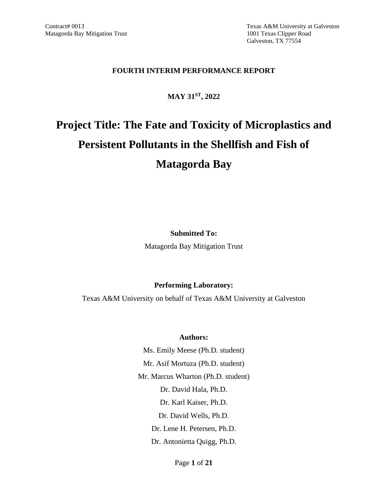Contract# 0013 Texas A&M University at Galveston Galveston, TX 77554

#### **FOURTH INTERIM PERFORMANCE REPORT**

## **MAY 31ST, 2022**

# **Project Title: The Fate and Toxicity of Microplastics and Persistent Pollutants in the Shellfish and Fish of Matagorda Bay**

**Submitted To:**

Matagorda Bay Mitigation Trust

#### **Performing Laboratory:**

Texas A&M University on behalf of Texas A&M University at Galveston

#### **Authors:**

Ms. Emily Meese (Ph.D. student) Mr. Asif Mortuza (Ph.D. student) Mr. Marcus Wharton (Ph.D. student) Dr. David Hala, Ph.D. Dr. Karl Kaiser, Ph.D. Dr. David Wells, Ph.D. Dr. Lene H. Petersen, Ph.D. Dr. Antonietta Quigg, Ph.D.

Page **1** of **21**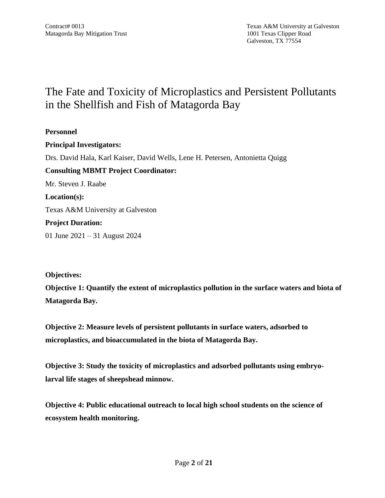# The Fate and Toxicity of Microplastics and Persistent Pollutants in the Shellfish and Fish of Matagorda Bay

**Personnel Principal Investigators:** Drs. David Hala, Karl Kaiser, David Wells, Lene H. Petersen, Antonietta Quigg **Consulting MBMT Project Coordinator:** Mr. Steven J. Raabe **Location(s):** Texas A&M University at Galveston **Project Duration:** 01 June 2021 – 31 August 2024

**Objectives:**

**Objective 1: Quantify the extent of microplastics pollution in the surface waters and biota of Matagorda Bay.**

**Objective 2: Measure levels of persistent pollutants in surface waters, adsorbed to microplastics, and bioaccumulated in the biota of Matagorda Bay.**

**Objective 3: Study the toxicity of microplastics and adsorbed pollutants using embryolarval life stages of sheepshead minnow.**

**Objective 4: Public educational outreach to local high school students on the science of ecosystem health monitoring.**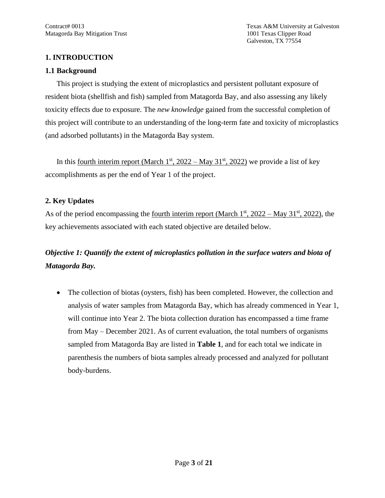## **1. INTRODUCTION**

#### **1.1 Background**

This project is studying the extent of microplastics and persistent pollutant exposure of resident biota (shellfish and fish) sampled from Matagorda Bay, and also assessing any likely toxicity effects due to exposure. The *new knowledge* gained from the successful completion of this project will contribute to an understanding of the long-term fate and toxicity of microplastics (and adsorbed pollutants) in the Matagorda Bay system.

In this <u>fourth interim report (March 1<sup>st</sup>, 2022 – May 31<sup>st</sup>, 2022)</u> we provide a list of key accomplishments as per the end of Year 1 of the project.

## **2. Key Updates**

As of the period encompassing the <u>fourth interim report (March 1<sup>st</sup>, 2022 – May 31<sup>st</sup>, 2022)</u>, the key achievements associated with each stated objective are detailed below.

# *Objective 1: Quantify the extent of microplastics pollution in the surface waters and biota of Matagorda Bay.*

• The collection of biotas (oysters, fish) has been completed. However, the collection and analysis of water samples from Matagorda Bay, which has already commenced in Year 1, will continue into Year 2. The biota collection duration has encompassed a time frame from May – December 2021. As of current evaluation, the total numbers of organisms sampled from Matagorda Bay are listed in **Table 1**, and for each total we indicate in parenthesis the numbers of biota samples already processed and analyzed for pollutant body-burdens.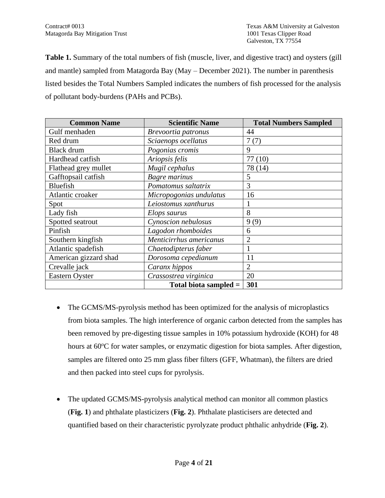**Table 1.** Summary of the total numbers of fish (muscle, liver, and digestive tract) and oysters (gill and mantle) sampled from Matagorda Bay (May – December 2021). The number in parenthesis listed besides the Total Numbers Sampled indicates the numbers of fish processed for the analysis of pollutant body-burdens (PAHs and PCBs).

| <b>Common Name</b>    | <b>Scientific Name</b>  | <b>Total Numbers Sampled</b> |
|-----------------------|-------------------------|------------------------------|
| Gulf menhaden         | Brevoortia patronus     | 44                           |
| Red drum              | Sciaenops ocellatus     | 7(7)                         |
| <b>Black</b> drum     | Pogonias cromis         | 9                            |
| Hardhead catfish      | Ariopsis felis          | 77(10)                       |
| Flathead grey mullet  | Mugil cephalus          | 78 (14)                      |
| Gafftopsail catfish   | Bagre marinus           | 5                            |
| Bluefish              | Pomatomus saltatrix     | 3                            |
| Atlantic croaker      | Micropogonias undulatus | 16                           |
| Spot                  | Leiostomus xanthurus    |                              |
| Lady fish             | Elops saurus            | 8                            |
| Spotted seatrout      | Cynoscion nebulosus     | 9(9)                         |
| Pinfish               | Lagodon rhomboides      | 6                            |
| Southern kingfish     | Menticirrhus americanus | $\overline{2}$               |
| Atlantic spadefish    | Chaetodipterus faber    |                              |
| American gizzard shad | Dorosoma cepedianum     | 11                           |
| Crevalle jack         | Caranx hippos           | $\overline{2}$               |
| <b>Eastern Oyster</b> | Crassostrea virginica   | 20                           |
|                       | Total biota sampled $=$ | 301                          |

- The GCMS/MS-pyrolysis method has been optimized for the analysis of microplastics from biota samples. The high interference of organic carbon detected from the samples has been removed by pre-digesting tissue samples in 10% potassium hydroxide (KOH) for 48 hours at  $60^{\circ}$ C for water samples, or enzymatic digestion for biota samples. After digestion, samples are filtered onto 25 mm glass fiber filters (GFF, Whatman), the filters are dried and then packed into steel cups for pyrolysis.
- The updated GCMS/MS-pyrolysis analytical method can monitor all common plastics (**Fig. 1**) and phthalate plasticizers (**Fig. 2**). Phthalate plasticisers are detected and quantified based on their characteristic pyrolyzate product phthalic anhydride (**Fig. 2**).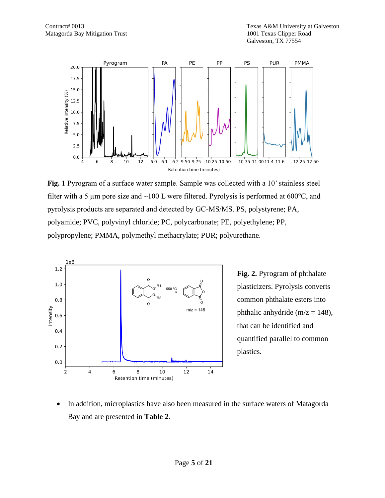

**Fig. 1** Pyrogram of a surface water sample. Sample was collected with a 10' stainless steel filter with a 5  $\mu$ m pore size and ~100 L were filtered. Pyrolysis is performed at 600 $^{\circ}$ C, and pyrolysis products are separated and detected by GC-MS/MS. PS, polystyrene; PA, polyamide; PVC, polyvinyl chloride; PC, polycarbonate; PE, polyethylene; PP, polypropylene; PMMA, polymethyl methacrylate; PUR; polyurethane.



**Fig. 2.** Pyrogram of phthalate plasticizers. Pyrolysis converts common phthalate esters into phthalic anhydride ( $m/z = 148$ ), that can be identified and quantified parallel to common plastics.

• In addition, microplastics have also been measured in the surface waters of Matagorda Bay and are presented in **Table 2**.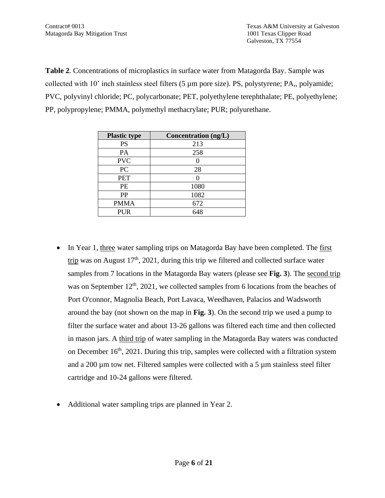**Table 2**. Concentrations of microplastics in surface water from Matagorda Bay. Sample was collected with 10' inch stainless steel filters (5 µm pore size). PS, polystyrene; PA,, polyamide; PVC, polyvinyl chloride; PC, polycarbonate; PET, polyethylene terephthalate; PE, polyethylene; PP, polypropylene; PMMA, polymethyl methacrylate; PUR; polyurethane.

| <b>Plastic type</b> | Concentration (ng/L) |
|---------------------|----------------------|
| <b>PS</b>           | 213                  |
| PA                  | 258                  |
| <b>PVC</b>          |                      |
| PC                  | 28                   |
| <b>PET</b>          |                      |
| PE                  | 1080                 |
| PP                  | 1082                 |
| <b>PMMA</b>         | 672                  |
| <b>PUR</b>          | 648                  |

- In Year 1, three water sampling trips on Matagorda Bay have been completed. The first trip was on August  $17<sup>th</sup>$ , 2021, during this trip we filtered and collected surface water samples from 7 locations in the Matagorda Bay waters (please see **Fig. 3**). The second trip was on September  $12<sup>th</sup>$ , 2021, we collected samples from 6 locations from the beaches of Port O'connor, Magnolia Beach, Port Lavaca, Weedhaven, Palacios and Wadsworth around the bay (not shown on the map in **Fig. 3**). On the second trip we used a pump to filter the surface water and about 13-26 gallons was filtered each time and then collected in mason jars. A third trip of water sampling in the Matagorda Bay waters was conducted on December  $16<sup>th</sup>$ , 2021. During this trip, samples were collected with a filtration system and a 200 µm tow net. Filtered samples were collected with a 5 µm stainless steel filter cartridge and 10-24 gallons were filtered.
- Additional water sampling trips are planned in Year 2.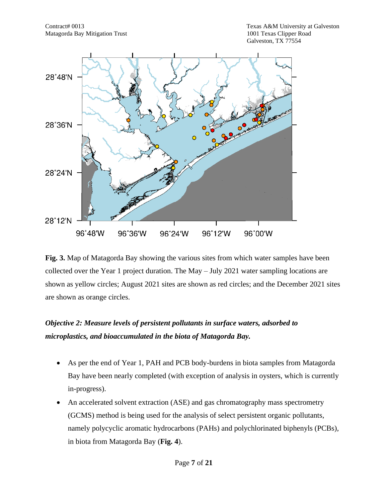

**Fig. 3.** Map of Matagorda Bay showing the various sites from which water samples have been collected over the Year 1 project duration. The May – July 2021 water sampling locations are shown as yellow circles; August 2021 sites are shown as red circles; and the December 2021 sites are shown as orange circles.

## *Objective 2: Measure levels of persistent pollutants in surface waters, adsorbed to microplastics, and bioaccumulated in the biota of Matagorda Bay.*

- As per the end of Year 1, PAH and PCB body-burdens in biota samples from Matagorda Bay have been nearly completed (with exception of analysis in oysters, which is currently in-progress).
- An accelerated solvent extraction (ASE) and gas chromatography mass spectrometry (GCMS) method is being used for the analysis of select persistent organic pollutants, namely polycyclic aromatic hydrocarbons (PAHs) and polychlorinated biphenyls (PCBs), in biota from Matagorda Bay (**Fig. 4**).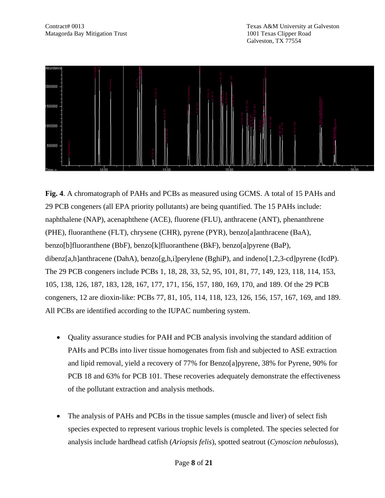

**Fig. 4**. A chromatograph of PAHs and PCBs as measured using GCMS. A total of 15 PAHs and 29 PCB congeners (all EPA priority pollutants) are being quantified. The 15 PAHs include: naphthalene (NAP), acenaphthene (ACE), fluorene (FLU), anthracene (ANT), phenanthrene (PHE), fluoranthene (FLT), chrysene (CHR), pyrene (PYR), benzo[a]anthracene (BaA), benzo[b]fluoranthene (BbF), benzo[k]fluoranthene (BkF), benzo[a]pyrene (BaP), dibenz[a,h]anthracene (DahA), benzo[g,h,i]perylene (BghiP), and indeno[1,2,3-cd]pyrene (IcdP). The 29 PCB congeners include PCBs 1, 18, 28, 33, 52, 95, 101, 81, 77, 149, 123, 118, 114, 153, 105, 138, 126, 187, 183, 128, 167, 177, 171, 156, 157, 180, 169, 170, and 189. Of the 29 PCB congeners, 12 are dioxin-like: PCBs 77, 81, 105, 114, 118, 123, 126, 156, 157, 167, 169, and 189. All PCBs are identified according to the IUPAC numbering system.

- Ouality assurance studies for PAH and PCB analysis involving the standard addition of PAHs and PCBs into liver tissue homogenates from fish and subjected to ASE extraction and lipid removal, yield a recovery of 77% for Benzo[a]pyrene, 38% for Pyrene, 90% for PCB 18 and 63% for PCB 101. These recoveries adequately demonstrate the effectiveness of the pollutant extraction and analysis methods.
- The analysis of PAHs and PCBs in the tissue samples (muscle and liver) of select fish species expected to represent various trophic levels is completed. The species selected for analysis include hardhead catfish (*Ariopsis felis*), spotted seatrout (*Cynoscion nebulosus*),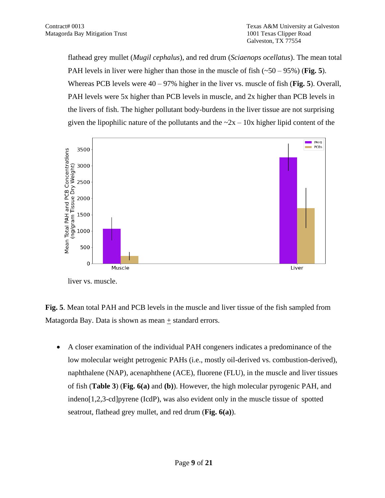flathead grey mullet (*Mugil cephalus*), and red drum (*Sciaenops ocellatus*). The mean total PAH levels in liver were higher than those in the muscle of fish (~50 – 95%) (**Fig. 5**). Whereas PCB levels were 40 – 97% higher in the liver vs. muscle of fish (**Fig. 5**). Overall, PAH levels were 5x higher than PCB levels in muscle, and 2x higher than PCB levels in the livers of fish. The higher pollutant body-burdens in the liver tissue are not surprising given the lipophilic nature of the pollutants and the  $\sim 2x - 10x$  higher lipid content of the

![](_page_8_Figure_3.jpeg)

liver vs. muscle.

**Fig. 5**. Mean total PAH and PCB levels in the muscle and liver tissue of the fish sampled from Matagorda Bay. Data is shown as mean  $\pm$  standard errors.

• A closer examination of the individual PAH congeners indicates a predominance of the low molecular weight petrogenic PAHs (i.e., mostly oil-derived vs. combustion-derived), naphthalene (NAP), acenaphthene (ACE), fluorene (FLU), in the muscle and liver tissues of fish (**Table 3**) (**Fig. 6(a)** and **(b)**). However, the high molecular pyrogenic PAH, and indeno[1,2,3-cd]pyrene (IcdP), was also evident only in the muscle tissue of spotted seatrout, flathead grey mullet, and red drum (**Fig. 6(a)**).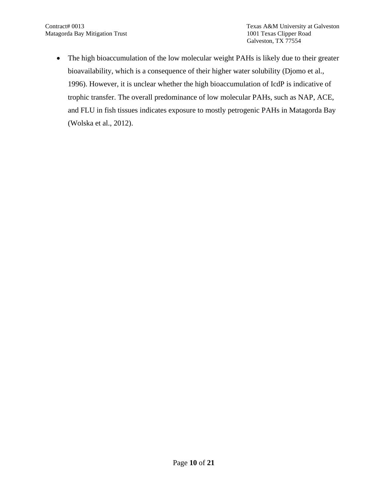• The high bioaccumulation of the low molecular weight PAHs is likely due to their greater bioavailability, which is a consequence of their higher water solubility (Djomo et al., 1996). However, it is unclear whether the high bioaccumulation of IcdP is indicative of trophic transfer. The overall predominance of low molecular PAHs, such as NAP, ACE, and FLU in fish tissues indicates exposure to mostly petrogenic PAHs in Matagorda Bay (Wolska et al., 2012).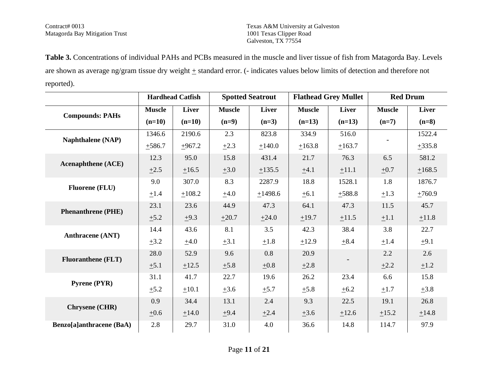Matagorda Bay Mitigation Trust

Contract# 0013 Texas A&M University at Galveston Galveston, TX 77554

**Table 3.** Concentrations of individual PAHs and PCBs measured in the muscle and liver tissue of fish from Matagorda Bay. Levels are shown as average ng/gram tissue dry weight  $\pm$  standard error. (- indicates values below limits of detection and therefore not reported).

|                                    |               | <b>Hardhead Catfish</b> |               | <b>Spotted Seatrout</b> |               | <b>Flathead Grey Mullet</b> |               | <b>Red Drum</b> |
|------------------------------------|---------------|-------------------------|---------------|-------------------------|---------------|-----------------------------|---------------|-----------------|
| <b>Compounds: PAHs</b>             | <b>Muscle</b> | <b>Liver</b>            | <b>Muscle</b> | Liver                   | <b>Muscle</b> | <b>Liver</b>                | <b>Muscle</b> | Liver           |
|                                    | $(n=10)$      | $(n=10)$                | $(n=9)$       | $(n=3)$                 | $(n=13)$      | $(n=13)$                    | $(n=7)$       | $(n=8)$         |
| <b>Naphthalene</b> (NAP)           | 1346.6        | 2190.6                  | 2.3           | 823.8                   | 334.9         | 516.0                       |               | 1522.4          |
|                                    | ±586.7        | $+967.2$                | $\pm 2.3$     | ±140.0                  | ±163.8        | ±163.7                      |               | ±335.8          |
| <b>Acenaphthene</b> (ACE)          | 12.3          | 95.0                    | 15.8          | 431.4                   | 21.7          | 76.3                        | 6.5           | 581.2           |
|                                    | $\pm 2.5$     | ±16.5                   | $\pm 3.0$     | ±135.5                  | ±4.1          | $+11.1$                     | $\pm 0.7$     | ±168.5          |
| <b>Fluorene (FLU)</b>              | 9.0           | 307.0                   | 8.3           | 2287.9                  | 18.8          | 1528.1                      | 1.8           | 1876.7          |
|                                    | $\pm 1.4$     | ±108.2                  | ±4.0          | ±1498.6                 | $\pm 6.1$     | $+588.8$                    | $\pm 1.3$     | $+760.9$        |
| <b>Phenanthrene (PHE)</b>          | 23.1          | 23.6                    | 44.9          | 47.3                    | 64.1          | 47.3                        | 11.5          | 45.7            |
|                                    | $\pm 5.2$     | $\pm 9.3$               | $\pm 20.7$    | $+24.0$                 | ±19.7         | ±11.5                       | $\pm 1.1$     | ±11.8           |
| <b>Anthracene</b> (ANT)            | 14.4          | 43.6                    | 8.1           | 3.5                     | 42.3          | 38.4                        | 3.8           | 22.7            |
|                                    | $\pm 3.2$     | ±4.0                    | $\pm 3.1$     | $\pm 1.8$               | $+12.9$       | $\pm 8.4$                   | $\pm 1.4$     | $\pm 9.1$       |
| <b>Fluoranthene</b> ( <b>FLT</b> ) | 28.0          | 52.9                    | 9.6           | 0.8                     | 20.9          |                             | 2.2           | 2.6             |
|                                    | $\pm 5.1$     | ±12.5                   | ±5.8          | $\pm 0.8$               | $\pm 2.8$     |                             | $\pm 2.2$     | ±1.2            |
| <b>Pyrene (PYR)</b>                | 31.1          | 41.7                    | 22.7          | 19.6                    | 26.2          | 23.4                        | 6.6           | 15.8            |
|                                    | $\pm$ 5.2     | $+10.1$                 | $\pm 3.6$     | $+5.7$                  | ±5.8          | ±6.2                        | $\pm 1.7$     | $\pm 3.8$       |
| <b>Chrysene (CHR)</b>              | 0.9           | 34.4                    | 13.1          | 2.4                     | 9.3           | 22.5                        | 19.1          | 26.8            |
|                                    | $\pm 0.6$     | $\pm 14.0$              | $\pm 9.4$     | $\pm 2.4$               | $\pm 3.6$     | ±12.6                       | $\pm 15.2$    | ±14.8           |
| Benzo[a]anthracene (BaA)           | 2.8           | 29.7                    | 31.0          | 4.0                     | 36.6          | 14.8                        | 114.7         | 97.9            |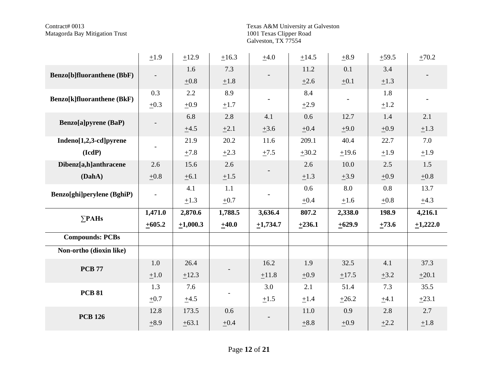Texas A&M University at Galveston<br>1001 Texas Clipper Road<br>Galveston, TX 77554

|                                                 | ±1.9                     | ±12.9         | ±16.3     | $\pm 4.0$     | ±14.5      | $\pm$ 8.9 | $+59.5$   | $\pm 70.2$ |
|-------------------------------------------------|--------------------------|---------------|-----------|---------------|------------|-----------|-----------|------------|
| <b>Benzo</b> [b]fluoranthene (BbF)              |                          | 1.6           | 7.3       |               | 11.2       | 0.1       | 3.4       |            |
|                                                 |                          | ±0.8          | ±1.8      |               | $\pm 2.6$  | $\pm 0.1$ | $\pm 1.3$ |            |
| <b>Benzo</b> [k]fluoranthene (BkF)              | 0.3                      | 2.2           | 8.9       |               | 8.4        |           | 1.8       |            |
|                                                 | $\pm 0.3$                | $\pm 0.9$     | $\pm 1.7$ |               | $\pm 2.9$  |           | ±1.2      |            |
| <b>Benzo</b> [a]pyrene (BaP)                    |                          | 6.8           | 2.8       | 4.1           | 0.6        | 12.7      | 1.4       | 2.1        |
|                                                 |                          | ±4.5          | $\pm 2.1$ | $\pm 3.6$     | $\pm 0.4$  | $+9.0$    | $\pm 0.9$ | $\pm 1.3$  |
| Indeno[1,2,3-cd]pyrene                          |                          | 21.9          | 20.2      | 11.6          | 209.1      | 40.4      | 22.7      | 7.0        |
| $(\mathbf{I} \mathbf{c} \mathbf{d} \mathbf{P})$ | $\qquad \qquad -$        | ±7.8          | $\pm 2.3$ | $\pm 7.5$     | $\pm 30.2$ | ±19.6     | ±1.9      | ±1.9       |
| Dibenz[a,h]anthracene                           | 2.6                      | 15.6          | 2.6       |               | 2.6        | 10.0      | 2.5       | 1.5        |
| (DahA)                                          | ±0.8                     | ±6.1          | $\pm 1.5$ |               | $\pm 1.3$  | $\pm 3.9$ | $\pm 0.9$ | $\pm 0.8$  |
| Benzo[ghi]perylene (BghiP)                      | $\overline{\phantom{a}}$ | 4.1           | 1.1       |               | 0.6        | 8.0       | 0.8       | 13.7       |
|                                                 |                          | $\pm 1.3$     | $\pm 0.7$ |               | $\pm 0.4$  | $\pm 1.6$ | $\pm 0.8$ | ±4.3       |
| $\Sigma$ PAHs                                   | 1,471.0                  | 2,870.6       | 1,788.5   | 3,636.4       | 807.2      | 2,338.0   | 198.9     | 4,216.1    |
|                                                 | $+605.2$                 | $\pm 1,000.3$ | ±40.0     | $\pm 1,734.7$ | $+236.1$   | $+629.9$  | $+73.6$   | $+1,222.0$ |
| <b>Compounds: PCBs</b>                          |                          |               |           |               |            |           |           |            |
| Non-ortho (dioxin like)                         |                          |               |           |               |            |           |           |            |
|                                                 | 1.0                      | 26.4          |           | 16.2          | 1.9        | 32.5      | 4.1       | 37.3       |
| <b>PCB 77</b>                                   | $\pm 1.0$                | ±12.3         |           | ±11.8         | $\pm 0.9$  | ±17.5     | $\pm 3.2$ | $\pm 20.1$ |
|                                                 | 1.3                      | 7.6           |           | 3.0           | 2.1        | 51.4      | 7.3       | 35.5       |
| <b>PCB 81</b>                                   | $\pm 0.7$                | ±4.5          |           | $\pm 1.5$     | ±1.4       | $+26.2$   | $\pm 4.1$ | $+23.1$    |
|                                                 | 12.8                     | 173.5         | 0.6       |               | 11.0       | 0.9       | 2.8       | 2.7        |
| <b>PCB 126</b>                                  | $\pm 8.9$                | ±63.1         | ±0.4      |               | ±8.8       | $\pm 0.9$ | $\pm 2.2$ | ±1.8       |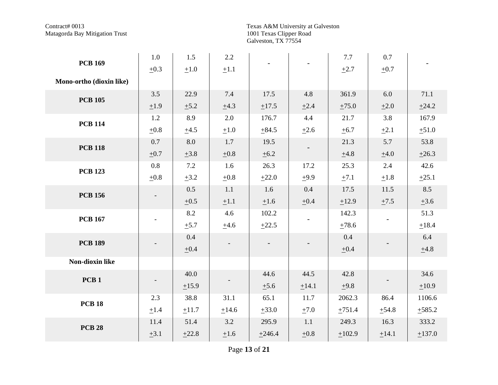Texas A&M University at Galveston<br>1001 Texas Clipper Road<br>Galveston, TX 77554

| <b>PCB 169</b>           | $1.0\,$   | 1.5       | 2.2       |            |           | 7.7        | 0.7       |           |
|--------------------------|-----------|-----------|-----------|------------|-----------|------------|-----------|-----------|
|                          | $\pm 0.3$ | $\pm 1.0$ | $\pm 1.1$ |            |           | $\pm 2.7$  | $\pm 0.7$ |           |
| Mono-ortho (dioxin like) |           |           |           |            |           |            |           |           |
| <b>PCB 105</b>           | 3.5       | 22.9      | 7.4       | 17.5       | 4.8       | 361.9      | 6.0       | 71.1      |
|                          | ±1.9      | ±5.2      | ±4.3      | ±17.5      | $\pm 2.4$ | $\pm 75.0$ | $\pm 2.0$ | ±24.2     |
| <b>PCB 114</b>           | 1.2       | 8.9       | 2.0       | 176.7      | 4.4       | 21.7       | 3.8       | 167.9     |
|                          | $\pm 0.8$ | ±4.5      | $\pm 1.0$ | ±84.5      | $\pm 2.6$ | ±6.7       | $\pm 2.1$ | ±51.0     |
| <b>PCB 118</b>           | 0.7       | 8.0       | 1.7       | 19.5       |           | 21.3       | 5.7       | 53.8      |
|                          | $\pm 0.7$ | $\pm 3.8$ | $\pm 0.8$ | $\pm 6.2$  |           | ±4.8       | ±4.0      | ±26.3     |
| <b>PCB 123</b>           | 0.8       | 7.2       | 1.6       | 26.3       | 17.2      | 25.3       | 2.4       | 42.6      |
|                          | $\pm 0.8$ | $\pm 3.2$ | ±0.8      | $+22.0$    | $+9.9$    | ±7.1       | ±1.8      | $+25.1$   |
| <b>PCB 156</b>           |           | 0.5       | 1.1       | 1.6        | 0.4       | 17.5       | 11.5      | 8.5       |
|                          |           | $\pm 0.5$ | $\pm 1.1$ | $\pm 1.6$  | $\pm 0.4$ | ±12.9      | $\pm 7.5$ | $\pm 3.6$ |
| <b>PCB 167</b>           |           | 8.2       | 4.6       | 102.2      |           | 142.3      |           | 51.3      |
|                          |           | $\pm$ 5.7 | ±4.6      | $+22.5$    |           | $\pm 78.6$ |           | $+18.4$   |
| <b>PCB 189</b>           |           | 0.4       |           |            |           | 0.4        |           | 6.4       |
|                          |           | $\pm 0.4$ |           |            |           | $\pm 0.4$  |           | $\pm 4.8$ |
| Non-dioxin like          |           |           |           |            |           |            |           |           |
| PCB <sub>1</sub>         |           | 40.0      |           | 44.6       | 44.5      | 42.8       |           | 34.6      |
|                          |           | ±15.9     |           | $\pm 5.6$  | ±14.1     | ±9.8       |           | ±10.9     |
| <b>PCB 18</b>            | 2.3       | 38.8      | 31.1      | 65.1       | 11.7      | 2062.3     | 86.4      | 1106.6    |
|                          | ±1.4      | ±11.7     | ±14.6     | $\pm 33.0$ | $\pm 7.0$ | ±751.4     | ±54.8     | ±585.2    |
| <b>PCB 28</b>            | 11.4      | 51.4      | 3.2       | 295.9      | 1.1       | 249.3      | 16.3      | 333.2     |
|                          | $\pm 3.1$ | ±22.8     | ±1.6      | ±246.4     | $\pm 0.8$ | ±102.9     | ±14.1     | ±137.0    |

Page 13 of 21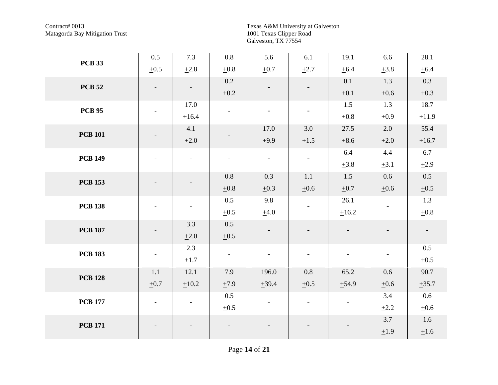Texas A&M University at Galveston<br>1001 Texas Clipper Road<br>Galveston, TX 77554

| <b>PCB 33</b>  | 0.5                      | 7.3                      | $0.8\,$                  | 5.6                      | 6.1                      | 19.1                     | 6.6                      | 28.1                     |
|----------------|--------------------------|--------------------------|--------------------------|--------------------------|--------------------------|--------------------------|--------------------------|--------------------------|
|                | $\pm 0.5$                | ±2.8                     | $\pm 0.8$                | $\pm 0.7$                | $\pm 2.7$                | ±6.4                     | $\pm 3.8$                | ±6.4                     |
| <b>PCB 52</b>  |                          | $\overline{\phantom{a}}$ | 0.2                      |                          | $\overline{\phantom{a}}$ | 0.1                      | 1.3                      | 0.3                      |
|                |                          |                          | ±0.2                     |                          |                          | $\pm 0.1$                | $\pm 0.6$                | $\pm 0.3$                |
| <b>PCB 95</b>  | $\overline{\phantom{a}}$ | 17.0                     | $\overline{\phantom{a}}$ | $\overline{\phantom{a}}$ | $\overline{\phantom{a}}$ | 1.5                      | 1.3                      | 18.7                     |
|                |                          | $\pm 16.4$               |                          |                          |                          | $\pm 0.8$                | $\pm 0.9$                | ±11.9                    |
| <b>PCB 101</b> |                          | 4.1                      |                          | 17.0                     | 3.0                      | 27.5                     | 2.0                      | 55.4                     |
|                |                          | $\pm 2.0$                |                          | ±9.9                     | $\pm 1.5$                | $\pm 8.6$                | $\pm 2.0$                | ±16.7                    |
| <b>PCB 149</b> | $\overline{\phantom{a}}$ | $\overline{\phantom{a}}$ | $\overline{\phantom{a}}$ | $\blacksquare$           | $\overline{\phantom{a}}$ | 6.4                      | 4.4                      | 6.7                      |
|                |                          |                          |                          |                          |                          | $\pm 3.8$                | $\pm 3.1$                | ±2.9                     |
| <b>PCB 153</b> |                          |                          | 0.8                      | 0.3                      | 1.1                      | 1.5                      | 0.6                      | 0.5                      |
|                |                          |                          | $\pm 0.8$                | $\pm 0.3$                | $\pm 0.6$                | $\pm 0.7$                | $\pm 0.6$                | $\pm 0.5$                |
| <b>PCB 138</b> |                          | $\overline{\phantom{a}}$ | 0.5                      | 9.8                      |                          | 26.1                     |                          | 1.3                      |
|                |                          |                          | $\pm 0.5$                | ±4.0                     |                          | $\pm 16.2$               |                          | $\pm 0.8$                |
| <b>PCB 187</b> |                          | 3.3                      | 0.5                      |                          |                          | $\overline{\phantom{a}}$ |                          | $\overline{\phantom{a}}$ |
|                |                          | $\pm 2.0$                | $\pm 0.5$                |                          |                          |                          |                          |                          |
| <b>PCB 183</b> | $\overline{\phantom{a}}$ | 2.3                      | $\overline{\phantom{a}}$ | $\overline{\phantom{a}}$ | $\overline{\phantom{a}}$ | $\overline{a}$           | $\overline{\phantom{a}}$ | 0.5                      |
|                |                          | $\pm 1.7$                |                          |                          |                          |                          |                          | $\pm 0.5$                |
| <b>PCB 128</b> | 1.1                      | 12.1                     | 7.9                      | 196.0                    | 0.8                      | 65.2                     | 0.6                      | 90.7                     |
|                | $\pm 0.7$                | $\pm 10.2$               | ±7.9                     | ±39.4                    | $\pm 0.5$                | $+54.9$                  | $\pm 0.6$                | ±35.7                    |
| <b>PCB 177</b> | $\overline{\phantom{a}}$ | $\overline{\phantom{a}}$ | 0.5                      | $\overline{\phantom{a}}$ | $\overline{\phantom{a}}$ |                          | 3.4                      | $0.6\,$                  |
|                |                          |                          | $\pm 0.5$                |                          |                          |                          | $\pm 2.2$                | $\pm 0.6$                |
| <b>PCB 171</b> |                          |                          |                          |                          |                          |                          | 3.7                      | 1.6                      |
|                |                          |                          |                          |                          |                          |                          | ±1.9                     | $\pm 1.6$                |

Page 14 of 21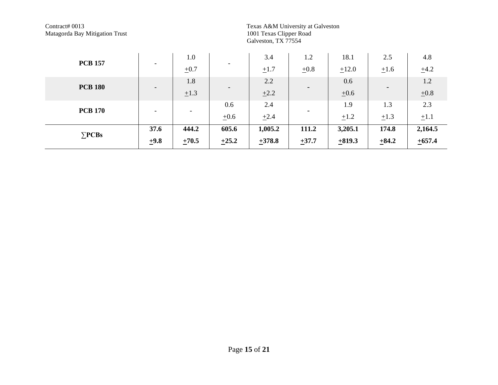Texas A&M University at Galveston<br>1001 Texas Clipper Road<br>Galveston, TX 77554

|                |                          | 1.0                      |                          | 3.4       | 1.2                      | 18.1      | 2.5                      | 4.8       |
|----------------|--------------------------|--------------------------|--------------------------|-----------|--------------------------|-----------|--------------------------|-----------|
| <b>PCB 157</b> | $\overline{\phantom{a}}$ | $\pm 0.7$                | $\overline{\phantom{0}}$ | $\pm 1.7$ | $\pm 0.8$                | $+12.0$   | $\pm 1.6$                | $\pm 4.2$ |
| <b>PCB 180</b> |                          | 1.8                      |                          | 2.2       |                          | 0.6       |                          | 1.2       |
|                | $\overline{\phantom{a}}$ | $\pm 1.3$                | $\overline{\phantom{0}}$ | $\pm 2.2$ | $\overline{\phantom{0}}$ | $\pm 0.6$ | $\overline{\phantom{a}}$ | $\pm 0.8$ |
| <b>PCB 170</b> |                          |                          | 0.6                      | 2.4       |                          | 1.9       | 1.3                      | 2.3       |
|                | $\overline{\phantom{a}}$ | $\overline{\phantom{a}}$ | $\pm 0.6$                | $\pm 2.4$ | $\overline{\phantom{0}}$ | $\pm 1.2$ | $\pm 1.3$                | $\pm 1.1$ |
| $\Sigma$ PCBs  | 37.6                     | 444.2                    | 605.6                    | 1,005.2   | 111.2                    | 3,205.1   | 174.8                    | 2,164.5   |
|                | ±9.8                     | $\pm 70.5$               | $+25.2$                  | $+378.8$  | $+37.7$                  | ±819.3    | $+84.2$                  | $+657.4$  |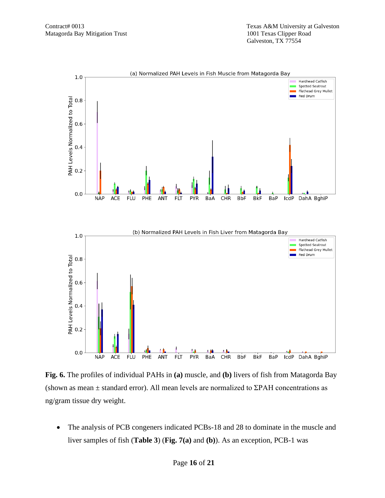![](_page_15_Figure_2.jpeg)

**Fig. 6.** The profiles of individual PAHs in **(a)** muscle, and **(b)** livers of fish from Matagorda Bay (shown as mean  $\pm$  standard error). All mean levels are normalized to ΣPAH concentrations as ng/gram tissue dry weight.

The analysis of PCB congeners indicated PCBs-18 and 28 to dominate in the muscle and liver samples of fish (**Table 3**) (**Fig. 7(a)** and **(b)**). As an exception, PCB-1 was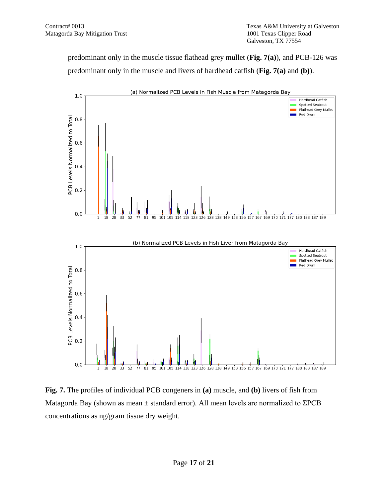predominant only in the muscle tissue flathead grey mullet (**Fig. 7(a)**), and PCB-126 was predominant only in the muscle and livers of hardhead catfish (**Fig. 7(a)** and **(b)**).

![](_page_16_Figure_3.jpeg)

**Fig. 7.** The profiles of individual PCB congeners in **(a)** muscle, and **(b)** livers of fish from Matagorda Bay (shown as mean  $\pm$  standard error). All mean levels are normalized to  $\Sigma PCB$ concentrations as ng/gram tissue dry weight.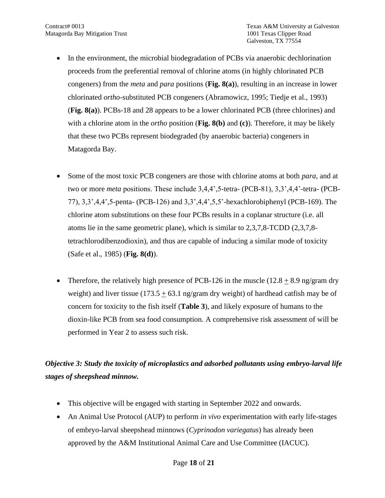- In the environment, the microbial biodegradation of PCBs via anaerobic dechlorination proceeds from the preferential removal of chlorine atoms (in highly chlorinated PCB congeners) from the *meta* and *para* positions (**Fig. 8(a)**), resulting in an increase in lower chlorinated *ortho*-substituted PCB congeners (Abramowicz, 1995; Tiedje et al., 1993) (**Fig. 8(a)**). PCBs-18 and 28 appears to be a lower chlorinated PCB (three chlorines) and with a chlorine atom in the *ortho* position (**Fig. 8(b)** and **(c)**). Therefore, it may be likely that these two PCBs represent biodegraded (by anaerobic bacteria) congeners in Matagorda Bay.
- Some of the most toxic PCB congeners are those with chlorine atoms at both *para*, and at two or more *meta* positions. These include 3,4,4',5-tetra- (PCB-81), 3,3',4,4'-tetra- (PCB-77), 3,3',4,4',5-penta- (PCB-126) and 3,3',4,4',5,5'-hexachlorobiphenyl (PCB-169). The chlorine atom substitutions on these four PCBs results in a coplanar structure (i.e. all atoms lie in the same geometric plane), which is similar to 2,3,7,8-TCDD (2,3,7,8 tetrachlorodibenzodioxin), and thus are capable of inducing a similar mode of toxicity (Safe et al., 1985) (**Fig. 8(d)**).
- Therefore, the relatively high presence of PCB-126 in the muscle  $(12.8 + 8.9)$  ng/gram dry weight) and liver tissue (173.5  $\pm$  63.1 ng/gram dry weight) of hardhead catfish may be of concern for toxicity to the fish itself (**Table 3**), and likely exposure of humans to the dioxin-like PCB from sea food consumption. A comprehensive risk assessment of will be performed in Year 2 to assess such risk.

# *Objective 3: Study the toxicity of microplastics and adsorbed pollutants using embryo-larval life stages of sheepshead minnow.*

- This objective will be engaged with starting in September 2022 and onwards.
- An Animal Use Protocol (AUP) to perform *in vivo* experimentation with early life-stages of embryo-larval sheepshead minnows (*Cyprinodon variegatus*) has already been approved by the A&M Institutional Animal Care and Use Committee (IACUC).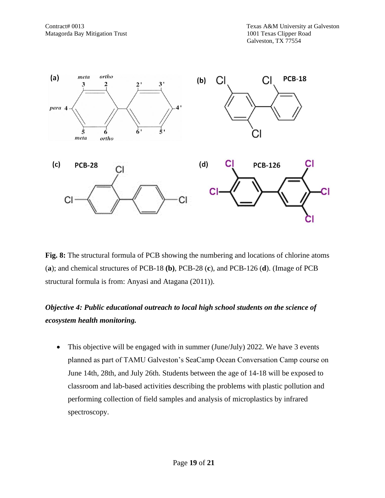![](_page_18_Figure_2.jpeg)

**Fig. 8:** The structural formula of PCB showing the numbering and locations of chlorine atoms (**a**); and chemical structures of PCB-18 **(b)**, PCB-28 (**c**), and PCB-126 (**d**). (Image of PCB structural formula is from: Anyasi and Atagana (2011)).

## *Objective 4: Public educational outreach to local high school students on the science of ecosystem health monitoring.*

• This objective will be engaged with in summer (June/July) 2022. We have 3 events planned as part of TAMU Galveston's SeaCamp Ocean Conversation Camp course on June 14th, 28th, and July 26th. Students between the age of 14-18 will be exposed to classroom and lab-based activities describing the problems with plastic pollution and performing collection of field samples and analysis of microplastics by infrared spectroscopy.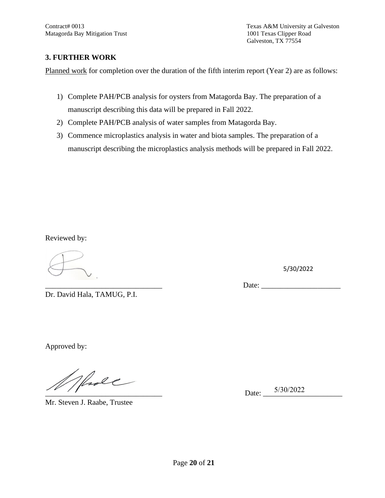Contract# 0013 Texas A&M University at Galveston Galveston, TX 77554

#### **3. FURTHER WORK**

Planned work for completion over the duration of the fifth interim report (Year 2) are as follows:

- 1) Complete PAH/PCB analysis for oysters from Matagorda Bay. The preparation of a manuscript describing this data will be prepared in Fall 2022.
- 2) Complete PAH/PCB analysis of water samples from Matagorda Bay.
- 3) Commence microplastics analysis in water and biota samples. The preparation of a manuscript describing the microplastics analysis methods will be prepared in Fall 2022.

Reviewed by:

5/30/2022

\_\_\_\_\_\_\_\_\_\_\_\_\_\_\_\_\_\_\_\_\_\_\_\_\_\_\_\_\_\_\_ Date: \_\_\_\_\_\_\_\_\_\_\_\_\_\_\_\_\_\_\_\_\_

Dr. David Hala, TAMUG, P.I.

Approved by:

hole

Mr. Steven J. Raabe, Trustee

\_\_\_\_\_\_\_\_\_\_\_\_\_\_\_\_\_\_\_\_\_\_\_\_\_\_\_\_\_\_\_ Date: \_\_\_\_\_\_\_\_\_\_\_\_\_\_\_\_\_\_\_\_\_ 5/30/2022